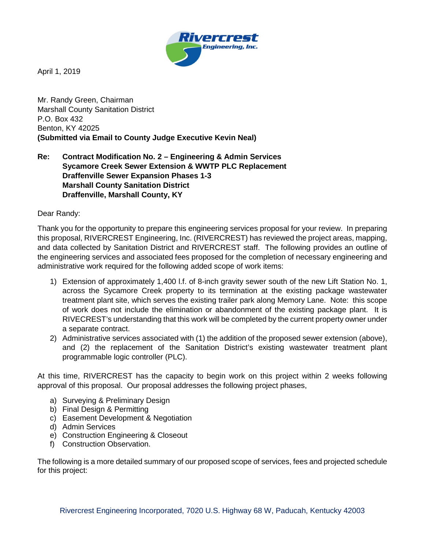

April 1, 2019

Mr. Randy Green, Chairman Marshall County Sanitation District P.O. Box 432 Benton, KY 42025 **(Submitted via Email to County Judge Executive Kevin Neal)**

**Re: Contract Modification No. 2 – Engineering & Admin Services Sycamore Creek Sewer Extension & WWTP PLC Replacement Draffenville Sewer Expansion Phases 1-3 Marshall County Sanitation District Draffenville, Marshall County, KY**

Dear Randy:

Thank you for the opportunity to prepare this engineering services proposal for your review. In preparing this proposal, RIVERCREST Engineering, Inc. (RIVERCREST) has reviewed the project areas, mapping, and data collected by Sanitation District and RIVERCREST staff. The following provides an outline of the engineering services and associated fees proposed for the completion of necessary engineering and administrative work required for the following added scope of work items:

- 1) Extension of approximately 1,400 l.f. of 8-inch gravity sewer south of the new Lift Station No. 1, across the Sycamore Creek property to its termination at the existing package wastewater treatment plant site, which serves the existing trailer park along Memory Lane. Note: this scope of work does not include the elimination or abandonment of the existing package plant. It is RIVECREST's understanding that this work will be completed by the current property owner under a separate contract.
- 2) Administrative services associated with (1) the addition of the proposed sewer extension (above), and (2) the replacement of the Sanitation District's existing wastewater treatment plant programmable logic controller (PLC).

At this time, RIVERCREST has the capacity to begin work on this project within 2 weeks following approval of this proposal. Our proposal addresses the following project phases,

- a) Surveying & Preliminary Design
- b) Final Design & Permitting
- c) Easement Development & Negotiation
- d) Admin Services
- e) Construction Engineering & Closeout
- f) Construction Observation.

The following is a more detailed summary of our proposed scope of services, fees and projected schedule for this project: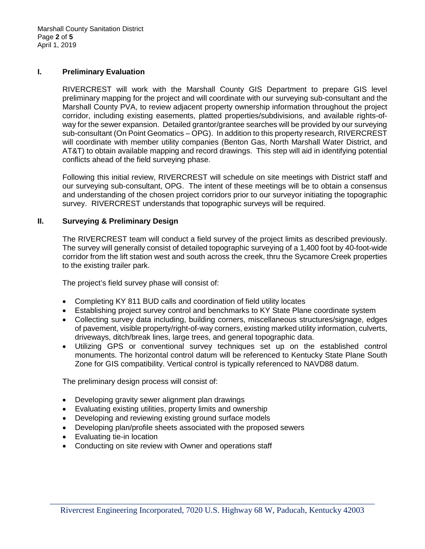## **I. Preliminary Evaluation**

RIVERCREST will work with the Marshall County GIS Department to prepare GIS level preliminary mapping for the project and will coordinate with our surveying sub-consultant and the Marshall County PVA, to review adjacent property ownership information throughout the project corridor, including existing easements, platted properties/subdivisions, and available rights-ofway for the sewer expansion. Detailed grantor/grantee searches will be provided by our surveying sub-consultant (On Point Geomatics – OPG). In addition to this property research, RIVERCREST will coordinate with member utility companies (Benton Gas, North Marshall Water District, and AT&T) to obtain available mapping and record drawings. This step will aid in identifying potential conflicts ahead of the field surveying phase.

Following this initial review, RIVERCREST will schedule on site meetings with District staff and our surveying sub-consultant, OPG. The intent of these meetings will be to obtain a consensus and understanding of the chosen project corridors prior to our surveyor initiating the topographic survey. RIVERCREST understands that topographic surveys will be required.

# **II. Surveying & Preliminary Design**

The RIVERCREST team will conduct a field survey of the project limits as described previously. The survey will generally consist of detailed topographic surveying of a 1,400 foot by 40-foot-wide corridor from the lift station west and south across the creek, thru the Sycamore Creek properties to the existing trailer park.

The project's field survey phase will consist of:

- Completing KY 811 BUD calls and coordination of field utility locates
- Establishing project survey control and benchmarks to KY State Plane coordinate system
- Collecting survey data including, building corners, miscellaneous structures/signage, edges of pavement, visible property/right-of-way corners, existing marked utility information, culverts, driveways, ditch/break lines, large trees, and general topographic data.
- Utilizing GPS or conventional survey techniques set up on the established control monuments. The horizontal control datum will be referenced to Kentucky State Plane South Zone for GIS compatibility. Vertical control is typically referenced to NAVD88 datum.

The preliminary design process will consist of:

- Developing gravity sewer alignment plan drawings
- Evaluating existing utilities, property limits and ownership
- Developing and reviewing existing ground surface models
- Developing plan/profile sheets associated with the proposed sewers
- Evaluating tie-in location
- Conducting on site review with Owner and operations staff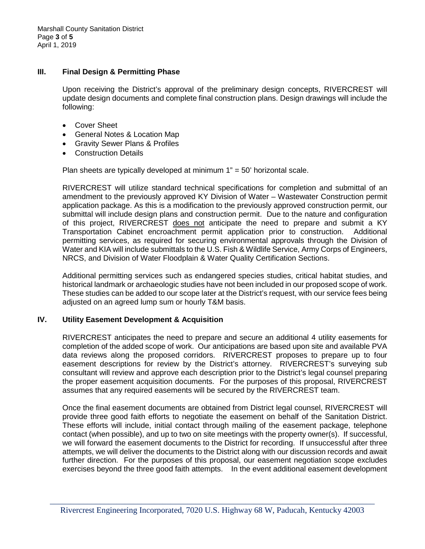#### **III. Final Design & Permitting Phase**

Upon receiving the District's approval of the preliminary design concepts, RIVERCREST will update design documents and complete final construction plans. Design drawings will include the following:

- Cover Sheet
- General Notes & Location Map
- Gravity Sewer Plans & Profiles
- Construction Details

Plan sheets are typically developed at minimum  $1" = 50'$  horizontal scale.

RIVERCREST will utilize standard technical specifications for completion and submittal of an amendment to the previously approved KY Division of Water – Wastewater Construction permit application package. As this is a modification to the previously approved construction permit, our submittal will include design plans and construction permit. Due to the nature and configuration of this project, RIVERCREST does not anticipate the need to prepare and submit a KY Transportation Cabinet encroachment permit application prior to construction. Additional permitting services, as required for securing environmental approvals through the Division of Water and KIA will include submittals to the U.S. Fish & Wildlife Service, Army Corps of Engineers, NRCS, and Division of Water Floodplain & Water Quality Certification Sections.

Additional permitting services such as endangered species studies, critical habitat studies, and historical landmark or archaeologic studies have not been included in our proposed scope of work. These studies can be added to our scope later at the District's request, with our service fees being adiusted on an agreed lump sum or hourly T&M basis.

# **IV. Utility Easement Development & Acquisition**

RIVERCREST anticipates the need to prepare and secure an additional 4 utility easements for completion of the added scope of work. Our anticipations are based upon site and available PVA data reviews along the proposed corridors. RIVERCREST proposes to prepare up to four easement descriptions for review by the District's attorney. RIVERCREST's surveying sub consultant will review and approve each description prior to the District's legal counsel preparing the proper easement acquisition documents. For the purposes of this proposal, RIVERCREST assumes that any required easements will be secured by the RIVERCREST team.

Once the final easement documents are obtained from District legal counsel, RIVERCREST will provide three good faith efforts to negotiate the easement on behalf of the Sanitation District. These efforts will include, initial contact through mailing of the easement package, telephone contact (when possible), and up to two on site meetings with the property owner(s). If successful, we will forward the easement documents to the District for recording. If unsuccessful after three attempts, we will deliver the documents to the District along with our discussion records and await further direction. For the purposes of this proposal, our easement negotiation scope excludes exercises beyond the three good faith attempts. In the event additional easement development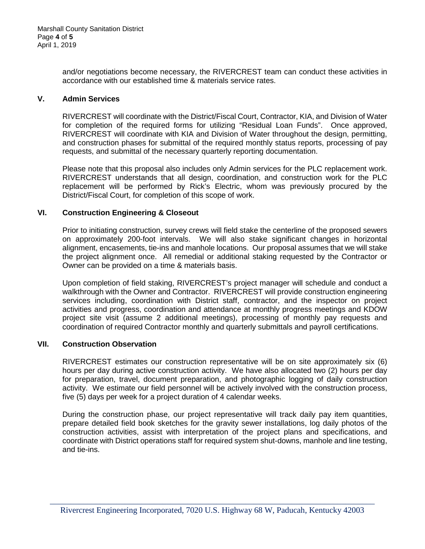and/or negotiations become necessary, the RIVERCREST team can conduct these activities in accordance with our established time & materials service rates.

## **V. Admin Services**

RIVERCREST will coordinate with the District/Fiscal Court, Contractor, KIA, and Division of Water for completion of the required forms for utilizing "Residual Loan Funds". Once approved, RIVERCREST will coordinate with KIA and Division of Water throughout the design, permitting, and construction phases for submittal of the required monthly status reports, processing of pay requests, and submittal of the necessary quarterly reporting documentation.

Please note that this proposal also includes only Admin services for the PLC replacement work. RIVERCREST understands that all design, coordination, and construction work for the PLC replacement will be performed by Rick's Electric, whom was previously procured by the District/Fiscal Court, for completion of this scope of work.

## **VI. Construction Engineering & Closeout**

Prior to initiating construction, survey crews will field stake the centerline of the proposed sewers on approximately 200-foot intervals. We will also stake significant changes in horizontal alignment, encasements, tie-ins and manhole locations. Our proposal assumes that we will stake the project alignment once. All remedial or additional staking requested by the Contractor or Owner can be provided on a time & materials basis.

Upon completion of field staking, RIVERCREST's project manager will schedule and conduct a walkthrough with the Owner and Contractor. RIVERCREST will provide construction engineering services including, coordination with District staff, contractor, and the inspector on project activities and progress, coordination and attendance at monthly progress meetings and KDOW project site visit (assume 2 additional meetings), processing of monthly pay requests and coordination of required Contractor monthly and quarterly submittals and payroll certifications.

### **VII. Construction Observation**

RIVERCREST estimates our construction representative will be on site approximately six (6) hours per day during active construction activity. We have also allocated two (2) hours per day for preparation, travel, document preparation, and photographic logging of daily construction activity. We estimate our field personnel will be actively involved with the construction process, five (5) days per week for a project duration of 4 calendar weeks.

During the construction phase, our project representative will track daily pay item quantities, prepare detailed field book sketches for the gravity sewer installations, log daily photos of the construction activities, assist with interpretation of the project plans and specifications, and coordinate with District operations staff for required system shut-downs, manhole and line testing, and tie-ins.